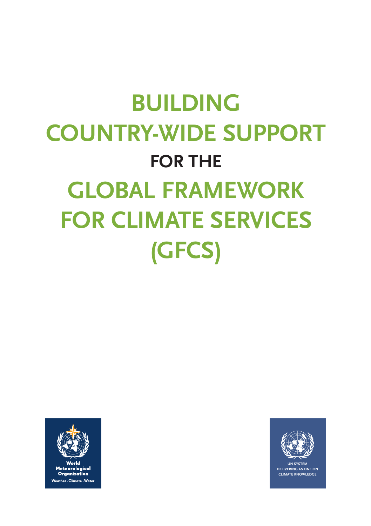# **Building country-wide support FOR THE Global Framework for Climate Services (GFCS)**





**UN System delivering as one on climate knowledge**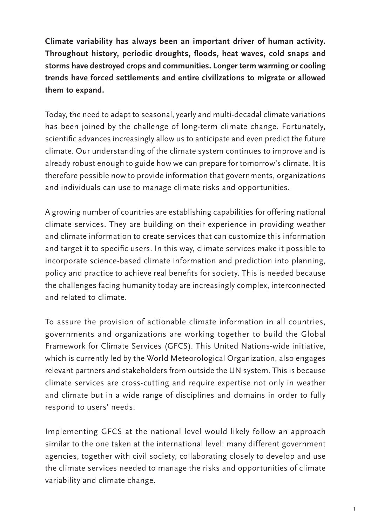**Climate variability has always been an important driver of human activity. Throughout history, periodic droughts, floods, heat waves, cold snaps and storms have destroyed crops and communities. Longer term warming or cooling trends have forced settlements and entire civilizations to migrate or allowed them to expand.**

Today, the need to adapt to seasonal, yearly and multi-decadal climate variations has been joined by the challenge of long-term climate change. Fortunately, scientific advances increasingly allow us to anticipate and even predict the future climate. Our understanding of the climate system continues to improve and is already robust enough to guide how we can prepare for tomorrow's climate. It is therefore possible now to provide information that governments, organizations and individuals can use to manage climate risks and opportunities.

A growing number of countries are establishing capabilities for offering national climate services. They are building on their experience in providing weather and climate information to create services that can customize this information and target it to specific users. In this way, climate services make it possible to incorporate science-based climate information and prediction into planning, policy and practice to achieve real benefits for society. This is needed because the challenges facing humanity today are increasingly complex, interconnected and related to climate.

To assure the provision of actionable climate information in all countries, governments and organizations are working together to build the Global Framework for Climate Services (GFCS). This United Nations-wide initiative, which is currently led by the World Meteorological Organization, also engages relevant partners and stakeholders from outside the UN system. This is because climate services are cross-cutting and require expertise not only in weather and climate but in a wide range of disciplines and domains in order to fully respond to users' needs.

Implementing GFCS at the national level would likely follow an approach similar to the one taken at the international level: many different government agencies, together with civil society, collaborating closely to develop and use the climate services needed to manage the risks and opportunities of climate variability and climate change.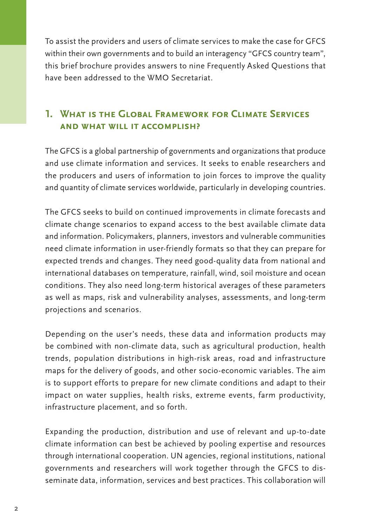To assist the providers and users of climate services to make the case for GFCS within their own governments and to build an interagency "GFCS country team", this brief brochure provides answers to nine Frequently Asked Questions that have been addressed to the WMO Secretariat.

## **1. What is the Global Framework for Climate Services and what will it accomplish?**

The GFCS is a global partnership of governments and organizations that produce and use climate information and services. It seeks to enable researchers and the producers and users of information to join forces to improve the quality and quantity of climate services worldwide, particularly in developing countries.

The GFCS seeks to build on continued improvements in climate forecasts and climate change scenarios to expand access to the best available climate data and information. Policymakers, planners, investors and vulnerable communities need climate information in user-friendly formats so that they can prepare for expected trends and changes. They need good-quality data from national and international databases on temperature, rainfall, wind, soil moisture and ocean conditions. They also need long-term historical averages of these parameters as well as maps, risk and vulnerability analyses, assessments, and long-term projections and scenarios.

Depending on the user's needs, these data and information products may be combined with non-climate data, such as agricultural production, health trends, population distributions in high-risk areas, road and infrastructure maps for the delivery of goods, and other socio-economic variables. The aim is to support efforts to prepare for new climate conditions and adapt to their impact on water supplies, health risks, extreme events, farm productivity, infrastructure placement, and so forth.

Expanding the production, distribution and use of relevant and up-to-date climate information can best be achieved by pooling expertise and resources through international cooperation. UN agencies, regional institutions, national governments and researchers will work together through the GFCS to disseminate data, information, services and best practices. This collaboration will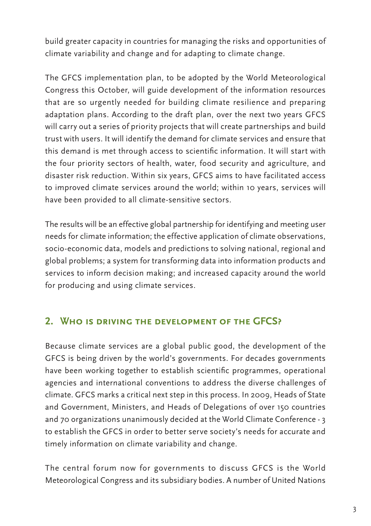build greater capacity in countries for managing the risks and opportunities of climate variability and change and for adapting to climate change.

The GFCS implementation plan, to be adopted by the World Meteorological Congress this October, will guide development of the information resources that are so urgently needed for building climate resilience and preparing adaptation plans. According to the draft plan, over the next two years GFCS will carry out a series of priority projects that will create partnerships and build trust with users. It will identify the demand for climate services and ensure that this demand is met through access to scientific information. It will start with the four priority sectors of health, water, food security and agriculture, and disaster risk reduction. Within six years, GFCS aims to have facilitated access to improved climate services around the world; within 10 years, services will have been provided to all climate-sensitive sectors.

The results will be an effective global partnership for identifying and meeting user needs for climate information; the effective application of climate observations, socio-economic data, models and predictions to solving national, regional and global problems; a system for transforming data into information products and services to inform decision making; and increased capacity around the world for producing and using climate services.

### **2. Who is driving the development of the GFCS?**

Because climate services are a global public good, the development of the GFCS is being driven by the world's governments. For decades governments have been working together to establish scientific programmes, operational agencies and international conventions to address the diverse challenges of climate. GFCS marks a critical next step in this process. In 2009, Heads of State and Government, Ministers, and Heads of Delegations of over 150 countries and 70 organizations unanimously decided at the World Climate Conference - 3 to establish the GFCS in order to better serve society's needs for accurate and timely information on climate variability and change.

The central forum now for governments to discuss GFCS is the World Meteorological Congress and its subsidiary bodies. A number of United Nations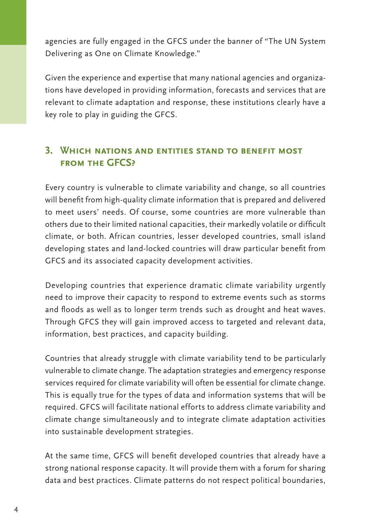agencies are fully engaged in the GFCS under the banner of "The UN System Delivering as One on Climate Knowledge."

Given the experience and expertise that many national agencies and organizations have developed in providing information, forecasts and services that are relevant to climate adaptation and response, these institutions clearly have a key role to play in guiding the GFCS.

### **3. Which nations and entities stand to benefit most from the GFCS?**

Every country is vulnerable to climate variability and change, so all countries will benefit from high-quality climate information that is prepared and delivered to meet users' needs. Of course, some countries are more vulnerable than others due to their limited national capacities, their markedly volatile or difficult climate, or both. African countries, lesser developed countries, small island developing states and land-locked countries will draw particular benefit from GFCS and its associated capacity development activities.

Developing countries that experience dramatic climate variability urgently need to improve their capacity to respond to extreme events such as storms and floods as well as to longer term trends such as drought and heat waves. Through GFCS they will gain improved access to targeted and relevant data, information, best practices, and capacity building.

Countries that already struggle with climate variability tend to be particularly vulnerable to climate change. The adaptation strategies and emergency response services required for climate variability will often be essential for climate change. This is equally true for the types of data and information systems that will be required. GFCS will facilitate national efforts to address climate variability and climate change simultaneously and to integrate climate adaptation activities into sustainable development strategies.

At the same time, GFCS will benefit developed countries that already have a strong national response capacity. It will provide them with a forum for sharing data and best practices. Climate patterns do not respect political boundaries,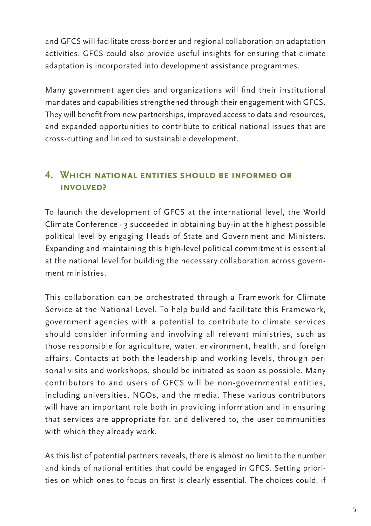and GFCS will facilitate cross-border and regional collaboration on adaptation activities. GFCS could also provide useful insights for ensuring that climate adaptation is incorporated into development assistance programmes.

Many government agencies and organizations will find their institutional mandates and capabilities strengthened through their engagement with GFCS. They will benefit from new partnerships, improved access to data and resources, and expanded opportunities to contribute to critical national issues that are cross-cutting and linked to sustainable development.

## **4. Which national entities should be informed or involved?**

To launch the development of GFCS at the international level, the World Climate Conference - 3 succeeded in obtaining buy-in at the highest possible political level by engaging Heads of State and Government and Ministers. Expanding and maintaining this high-level political commitment is essential at the national level for building the necessary collaboration across government ministries.

This collaboration can be orchestrated through a Framework for Climate Service at the National Level. To help build and facilitate this Framework, government agencies with a potential to contribute to climate services should consider informing and involving all relevant ministries, such as those responsible for agriculture, water, environment, health, and foreign affairs. Contacts at both the leadership and working levels, through personal visits and workshops, should be initiated as soon as possible. Many contributors to and users of GFCS will be non-governmental entities, including universities, NGOs, and the media. These various contributors will have an important role both in providing information and in ensuring that services are appropriate for, and delivered to, the user communities with which they already work.

As this list of potential partners reveals, there is almost no limit to the number and kinds of national entities that could be engaged in GFCS. Setting priorities on which ones to focus on first is clearly essential. The choices could, if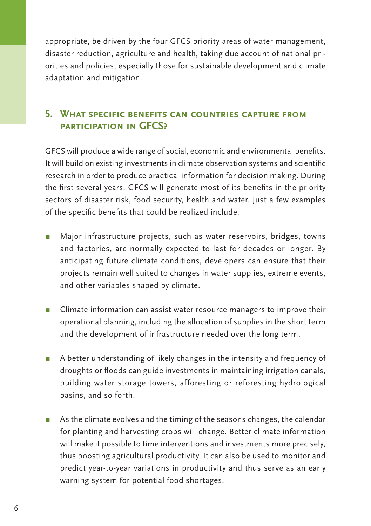appropriate, be driven by the four GFCS priority areas of water management, disaster reduction, agriculture and health, taking due account of national priorities and policies, especially those for sustainable development and climate adaptation and mitigation.

## **5. What specific benefits can countries capture from participation in GFCS?**

GFCS will produce a wide range of social, economic and environmental benefits. It will build on existing investments in climate observation systems and scientific research in order to produce practical information for decision making. During the first several years, GFCS will generate most of its benefits in the priority sectors of disaster risk, food security, health and water. Just a few examples of the specific benefits that could be realized include:

- Major infrastructure projects, such as water reservoirs, bridges, towns and factories, are normally expected to last for decades or longer. By anticipating future climate conditions, developers can ensure that their projects remain well suited to changes in water supplies, extreme events, and other variables shaped by climate.
- Climate information can assist water resource managers to improve their operational planning, including the allocation of supplies in the short term and the development of infrastructure needed over the long term.
- A better understanding of likely changes in the intensity and frequency of droughts or floods can guide investments in maintaining irrigation canals, building water storage towers, afforesting or reforesting hydrological basins, and so forth.
- **π** As the climate evolves and the timing of the seasons changes, the calendar for planting and harvesting crops will change. Better climate information will make it possible to time interventions and investments more precisely, thus boosting agricultural productivity. It can also be used to monitor and predict year-to-year variations in productivity and thus serve as an early warning system for potential food shortages.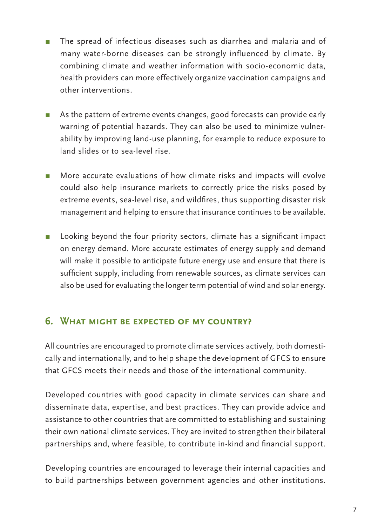- π The spread of infectious diseases such as diarrhea and malaria and of many water-borne diseases can be strongly influenced by climate. By combining climate and weather information with socio-economic data, health providers can more effectively organize vaccination campaigns and other interventions.
- As the pattern of extreme events changes, good forecasts can provide early warning of potential hazards. They can also be used to minimize vulnerability by improving land-use planning, for example to reduce exposure to land slides or to sea-level rise.
- More accurate evaluations of how climate risks and impacts will evolve could also help insurance markets to correctly price the risks posed by extreme events, sea-level rise, and wildfires, thus supporting disaster risk management and helping to ensure that insurance continues to be available.
- Looking beyond the four priority sectors, climate has a significant impact on energy demand. More accurate estimates of energy supply and demand will make it possible to anticipate future energy use and ensure that there is sufficient supply, including from renewable sources, as climate services can also be used for evaluating the longer term potential of wind and solar energy.

#### **6. What might be expected of my country?**

All countries are encouraged to promote climate services actively, both domestically and internationally, and to help shape the development of GFCS to ensure that GFCS meets their needs and those of the international community.

Developed countries with good capacity in climate services can share and disseminate data, expertise, and best practices. They can provide advice and assistance to other countries that are committed to establishing and sustaining their own national climate services. They are invited to strengthen their bilateral partnerships and, where feasible, to contribute in-kind and financial support.

Developing countries are encouraged to leverage their internal capacities and to build partnerships between government agencies and other institutions.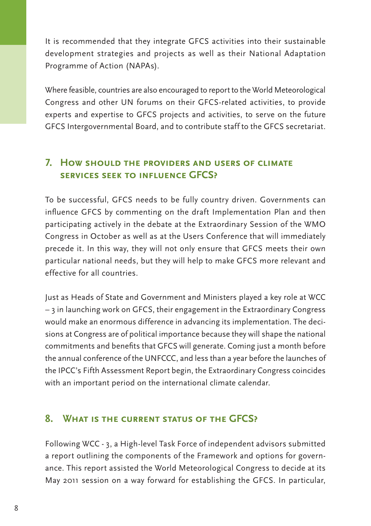It is recommended that they integrate GFCS activities into their sustainable development strategies and projects as well as their National Adaptation Programme of Action (NAPAs).

Where feasible, countries are also encouraged to report to the World Meteorological Congress and other UN forums on their GFCS-related activities, to provide experts and expertise to GFCS projects and activities, to serve on the future GFCS Intergovernmental Board, and to contribute staff to the GFCS secretariat.

## **7. How should the providers and users of climate services seek to influence GFCS?**

To be successful, GFCS needs to be fully country driven. Governments can influence GFCS by commenting on the draft Implementation Plan and then participating actively in the debate at the Extraordinary Session of the WMO Congress in October as well as at the Users Conference that will immediately precede it. In this way, they will not only ensure that GFCS meets their own particular national needs, but they will help to make GFCS more relevant and effective for all countries.

Just as Heads of State and Government and Ministers played a key role at WCC – 3 in launching work on GFCS, their engagement in the Extraordinary Congress would make an enormous difference in advancing its implementation. The decisions at Congress are of political importance because they will shape the national commitments and benefits that GFCS will generate. Coming just a month before the annual conference of the UNFCCC, and less than a year before the launches of the IPCC's Fifth Assessment Report begin, the Extraordinary Congress coincides with an important period on the international climate calendar.

#### **8. What is the current status of the GFCS?**

Following WCC - 3, a High-level Task Force of independent advisors submitted a report outlining the components of the Framework and options for governance. This report assisted the World Meteorological Congress to decide at its May 2011 session on a way forward for establishing the GFCS. In particular,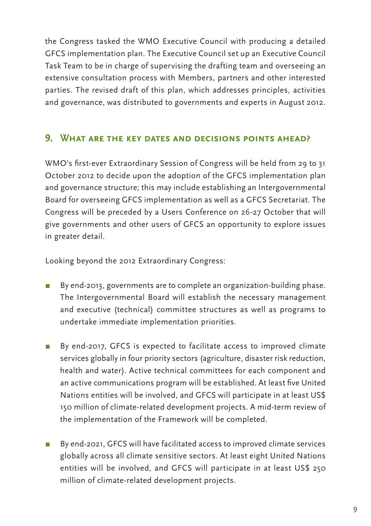the Congress tasked the WMO Executive Council with producing a detailed GFCS implementation plan. The Executive Council set up an Executive Council Task Team to be in charge of supervising the drafting team and overseeing an extensive consultation process with Members, partners and other interested parties. The revised draft of this plan, which addresses principles, activities and governance, was distributed to governments and experts in August 2012.

#### **9. What are the key dates and decisions points ahead?**

WMO's first-ever Extraordinary Session of Congress will be held from 29 to 31 October 2012 to decide upon the adoption of the GFCS implementation plan and governance structure; this may include establishing an Intergovernmental Board for overseeing GFCS implementation as well as a GFCS Secretariat. The Congress will be preceded by a Users Conference on 26-27 October that will give governments and other users of GFCS an opportunity to explore issues in greater detail.

Looking beyond the 2012 Extraordinary Congress:

- π By end-2013, governments are to complete an organization-building phase. The Intergovernmental Board will establish the necessary management and executive (technical) committee structures as well as programs to undertake immediate implementation priorities.
- π By end-2017, GFCS is expected to facilitate access to improved climate services globally in four priority sectors (agriculture, disaster risk reduction, health and water). Active technical committees for each component and an active communications program will be established. At least five United Nations entities will be involved, and GFCS will participate in at least US\$ 150 million of climate-related development projects. A mid-term review of the implementation of the Framework will be completed.
- By end-2021, GFCS will have facilitated access to improved climate services globally across all climate sensitive sectors. At least eight United Nations entities will be involved, and GFCS will participate in at least US\$ 250 million of climate-related development projects.